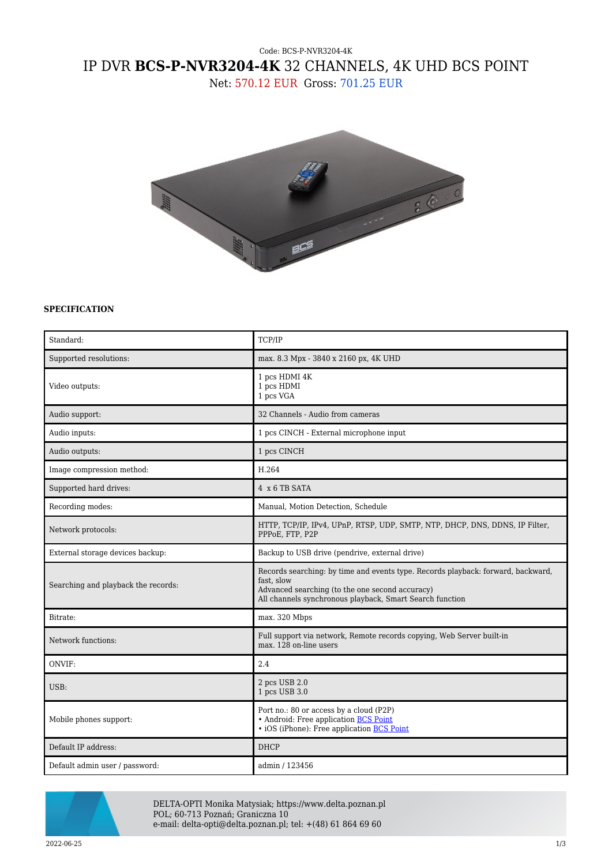## Code: BCS-P-NVR3204-4K IP DVR **BCS-P-NVR3204-4K** 32 CHANNELS, 4K UHD BCS POINT

Net: 570.12 EUR Gross: 701.25 EUR



## **SPECIFICATION**

| Standard:                           | TCP/IP                                                                                                                                                                                                        |
|-------------------------------------|---------------------------------------------------------------------------------------------------------------------------------------------------------------------------------------------------------------|
| Supported resolutions:              | max. 8.3 Mpx - 3840 x 2160 px, 4K UHD                                                                                                                                                                         |
| Video outputs:                      | 1 pcs HDMI 4K<br>1 pcs HDMI<br>1 pcs VGA                                                                                                                                                                      |
| Audio support:                      | 32 Channels - Audio from cameras                                                                                                                                                                              |
| Audio inputs:                       | 1 pcs CINCH - External microphone input                                                                                                                                                                       |
| Audio outputs:                      | 1 pcs CINCH                                                                                                                                                                                                   |
| Image compression method:           | H.264                                                                                                                                                                                                         |
| Supported hard drives:              | 4 x 6 TB SATA                                                                                                                                                                                                 |
| Recording modes:                    | Manual, Motion Detection, Schedule                                                                                                                                                                            |
| Network protocols:                  | HTTP, TCP/IP, IPv4, UPnP, RTSP, UDP, SMTP, NTP, DHCP, DNS, DDNS, IP Filter,<br>PPPoE, FTP, P2P                                                                                                                |
| External storage devices backup:    | Backup to USB drive (pendrive, external drive)                                                                                                                                                                |
| Searching and playback the records: | Records searching: by time and events type. Records playback: forward, backward,<br>fast, slow<br>Advanced searching (to the one second accuracy)<br>All channels synchronous playback, Smart Search function |
| Bitrate:                            | max. 320 Mbps                                                                                                                                                                                                 |
| Network functions:                  | Full support via network, Remote records copying, Web Server built-in<br>max. 128 on-line users                                                                                                               |
| ONVIF:                              | 2.4                                                                                                                                                                                                           |
| USB:                                | 2 pcs USB 2.0<br>1 pcs USB 3.0                                                                                                                                                                                |
| Mobile phones support:              | Port no.: 80 or access by a cloud (P2P)<br>• Android: Free application BCS Point<br>• iOS (iPhone): Free application BCS Point                                                                                |
| Default IP address:                 | <b>DHCP</b>                                                                                                                                                                                                   |
| Default admin user / password:      | admin / 123456                                                                                                                                                                                                |



DELTA-OPTI Monika Matysiak; https://www.delta.poznan.pl POL; 60-713 Poznań; Graniczna 10 e-mail: delta-opti@delta.poznan.pl; tel: +(48) 61 864 69 60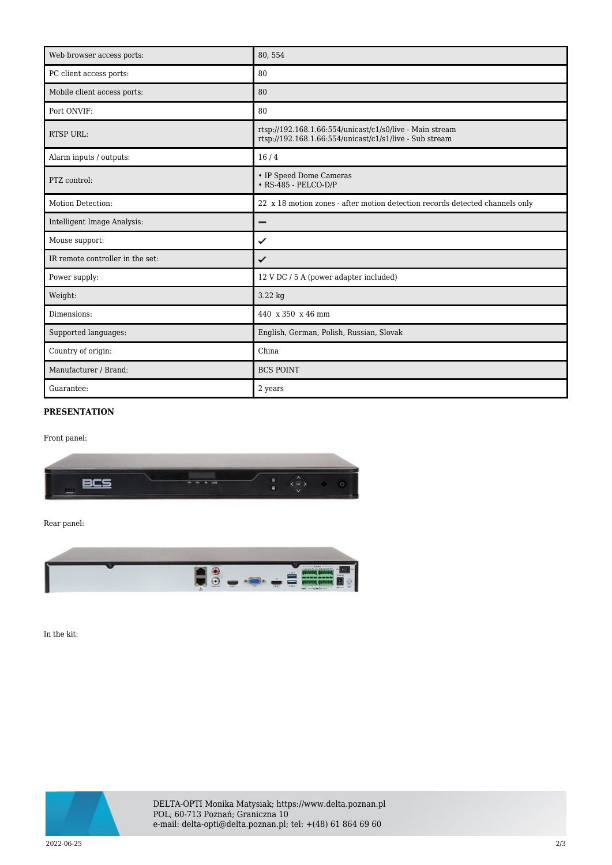| Web browser access ports:        | 80,554                                                                                                              |
|----------------------------------|---------------------------------------------------------------------------------------------------------------------|
| PC client access ports:          | 80                                                                                                                  |
| Mobile client access ports:      | 80                                                                                                                  |
| Port ONVIF:                      | 80                                                                                                                  |
| <b>RTSP URL:</b>                 | rtsp://192.168.1.66:554/unicast/c1/s0/live - Main stream<br>rtsp://192.168.1.66:554/unicast/c1/s1/live - Sub stream |
| Alarm inputs / outputs:          | 16/4                                                                                                                |
| PTZ control:                     | • IP Speed Dome Cameras<br>$\cdot$ RS-485 - PELCO-D/P                                                               |
| Motion Detection:                | 22 x 18 motion zones - after motion detection records detected channels only                                        |
| Intelligent Image Analysis:      | -                                                                                                                   |
| Mouse support:                   | ✓                                                                                                                   |
| IR remote controller in the set: | ✓                                                                                                                   |
| Power supply:                    | 12 V DC / 5 A (power adapter included)                                                                              |
| Weight:                          | 3.22 kg                                                                                                             |
| Dimensions:                      | 440 x 350 x 46 mm                                                                                                   |
| Supported languages:             | English, German, Polish, Russian, Slovak                                                                            |
| Country of origin:               | China                                                                                                               |
| Manufacturer / Brand:            | <b>BCS POINT</b>                                                                                                    |
| Guarantee:                       | 2 years                                                                                                             |

## **PRESENTATION**

Front panel:



Rear panel:



In the kit: